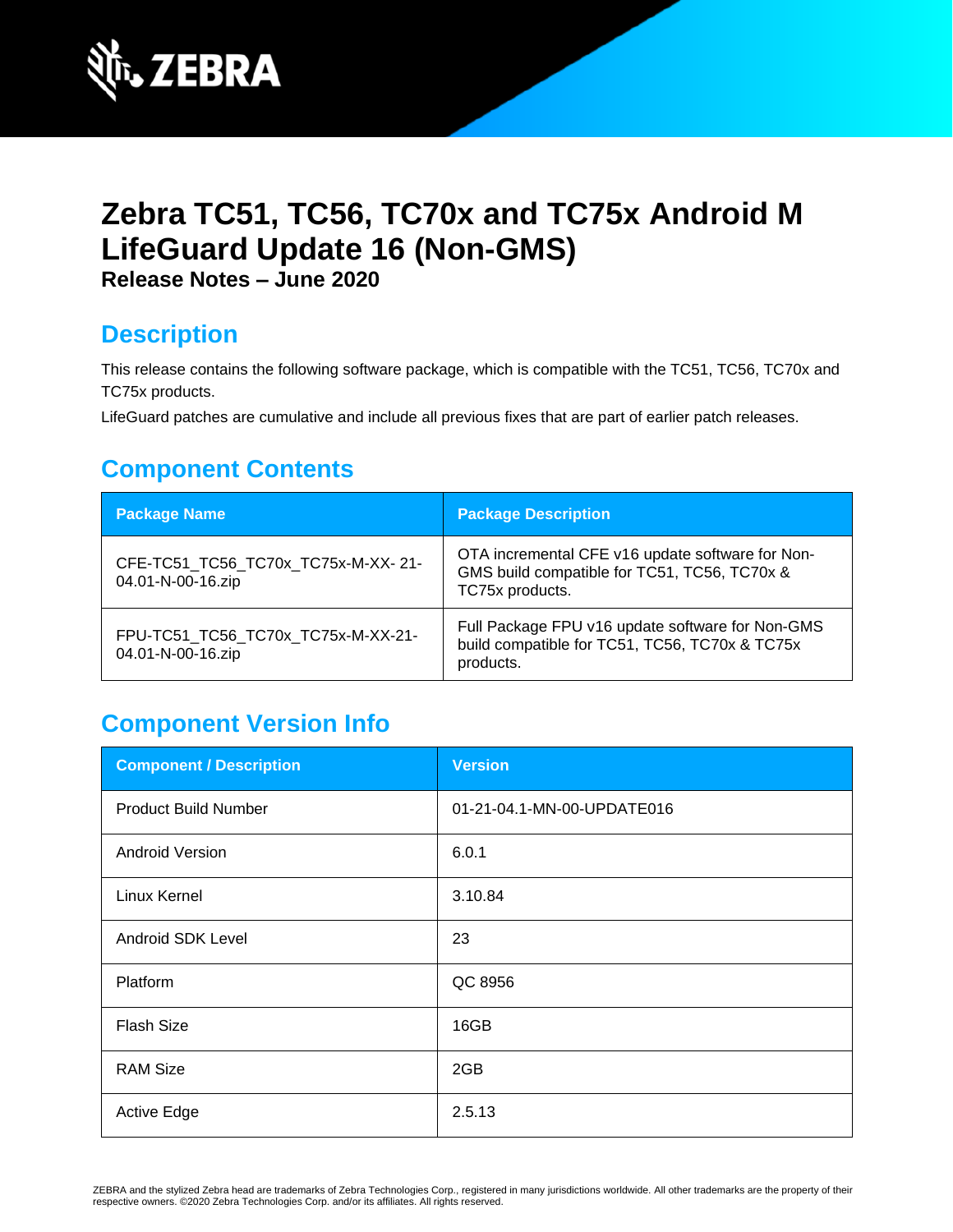

# **Zebra TC51, TC56, TC70x and TC75x Android M LifeGuard Update 16 (Non-GMS)**

**Release Notes – June 2020**

## **Description**

This release contains the following software package, which is compatible with the TC51, TC56, TC70x and TC75x products.

LifeGuard patches are cumulative and include all previous fixes that are part of earlier patch releases.

## **Component Contents**

| <b>Package Name</b>                                     | <b>Package Description</b>                                                                                          |
|---------------------------------------------------------|---------------------------------------------------------------------------------------------------------------------|
| CFE-TC51_TC56_TC70x_TC75x-M-XX-21-<br>04.01-N-00-16.zip | OTA incremental CFE v16 update software for Non-<br>GMS build compatible for TC51, TC56, TC70x &<br>TC75x products. |
| FPU-TC51_TC56_TC70x_TC75x-M-XX-21-<br>04.01-N-00-16.zip | Full Package FPU v16 update software for Non-GMS<br>build compatible for TC51, TC56, TC70x & TC75x<br>products.     |

# **Component Version Info**

| <b>Component / Description</b> | <b>Version</b>             |
|--------------------------------|----------------------------|
| <b>Product Build Number</b>    | 01-21-04.1-MN-00-UPDATE016 |
| <b>Android Version</b>         | 6.0.1                      |
| Linux Kernel                   | 3.10.84                    |
| Android SDK Level              | 23                         |
| Platform                       | QC 8956                    |
| <b>Flash Size</b>              | 16GB                       |
| <b>RAM Size</b>                | 2GB                        |
| <b>Active Edge</b>             | 2.5.13                     |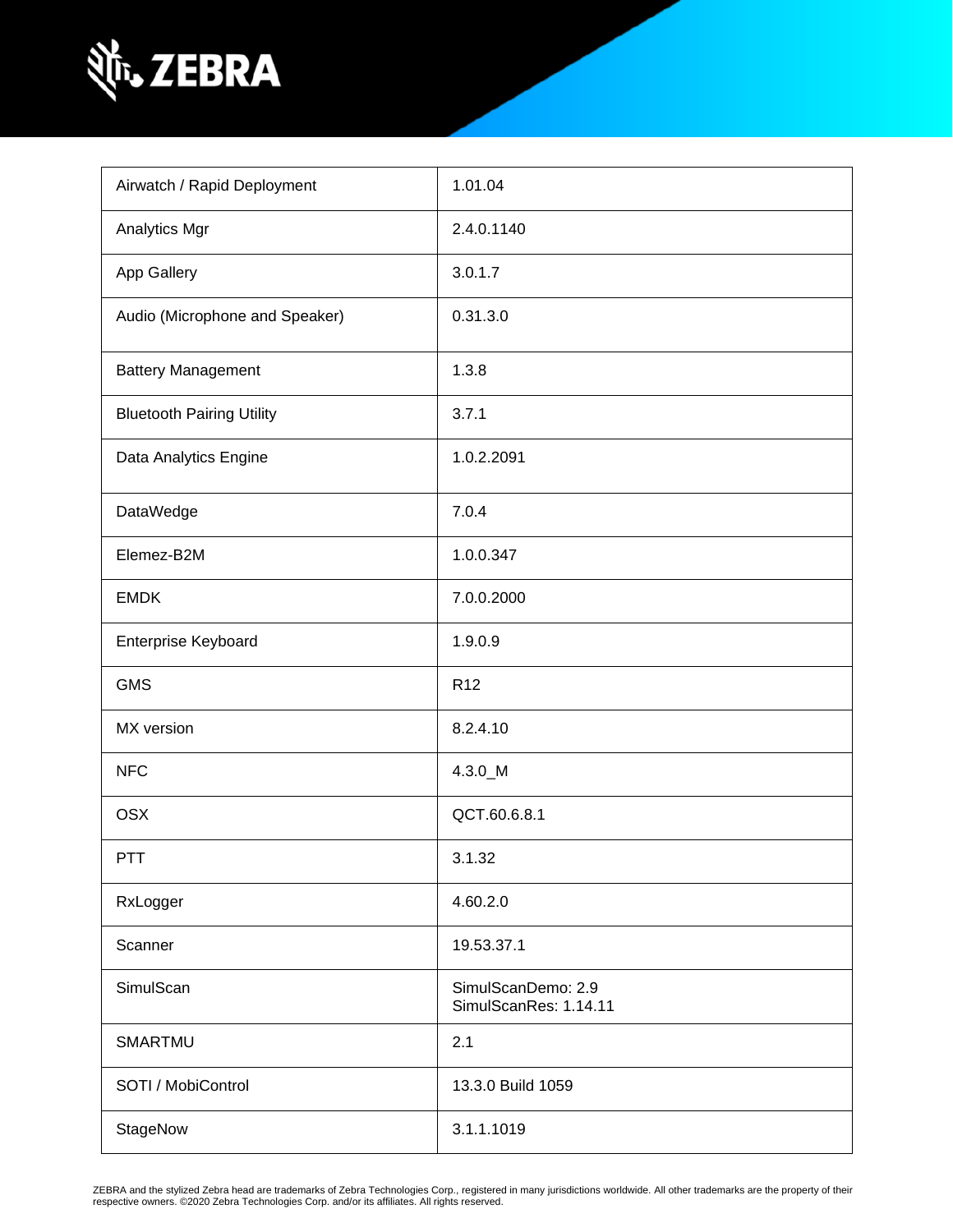

| Airwatch / Rapid Deployment      | 1.01.04                                     |
|----------------------------------|---------------------------------------------|
| Analytics Mgr                    | 2.4.0.1140                                  |
| App Gallery                      | 3.0.1.7                                     |
| Audio (Microphone and Speaker)   | 0.31.3.0                                    |
| <b>Battery Management</b>        | 1.3.8                                       |
| <b>Bluetooth Pairing Utility</b> | 3.7.1                                       |
| Data Analytics Engine            | 1.0.2.2091                                  |
| DataWedge                        | 7.0.4                                       |
| Elemez-B2M                       | 1.0.0.347                                   |
| <b>EMDK</b>                      | 7.0.0.2000                                  |
| Enterprise Keyboard              | 1.9.0.9                                     |
| <b>GMS</b>                       | R <sub>12</sub>                             |
| MX version                       | 8.2.4.10                                    |
| <b>NFC</b>                       | 4.3.0 M                                     |
| <b>OSX</b>                       | QCT.60.6.8.1                                |
| PTT                              | 3.1.32                                      |
| RxLogger                         | 4.60.2.0                                    |
| Scanner                          | 19.53.37.1                                  |
| SimulScan                        | SimulScanDemo: 2.9<br>SimulScanRes: 1.14.11 |
| SMARTMU                          | 2.1                                         |
| SOTI / MobiControl               | 13.3.0 Build 1059                           |
| StageNow                         | 3.1.1.1019                                  |

ZEBRA and the stylized Zebra head are trademarks of Zebra Technologies Corp., registered in many jurisdictions worldwide. All other trademarks are the property of their<br>respective owners. ©2020 Zebra Technologies Corp. an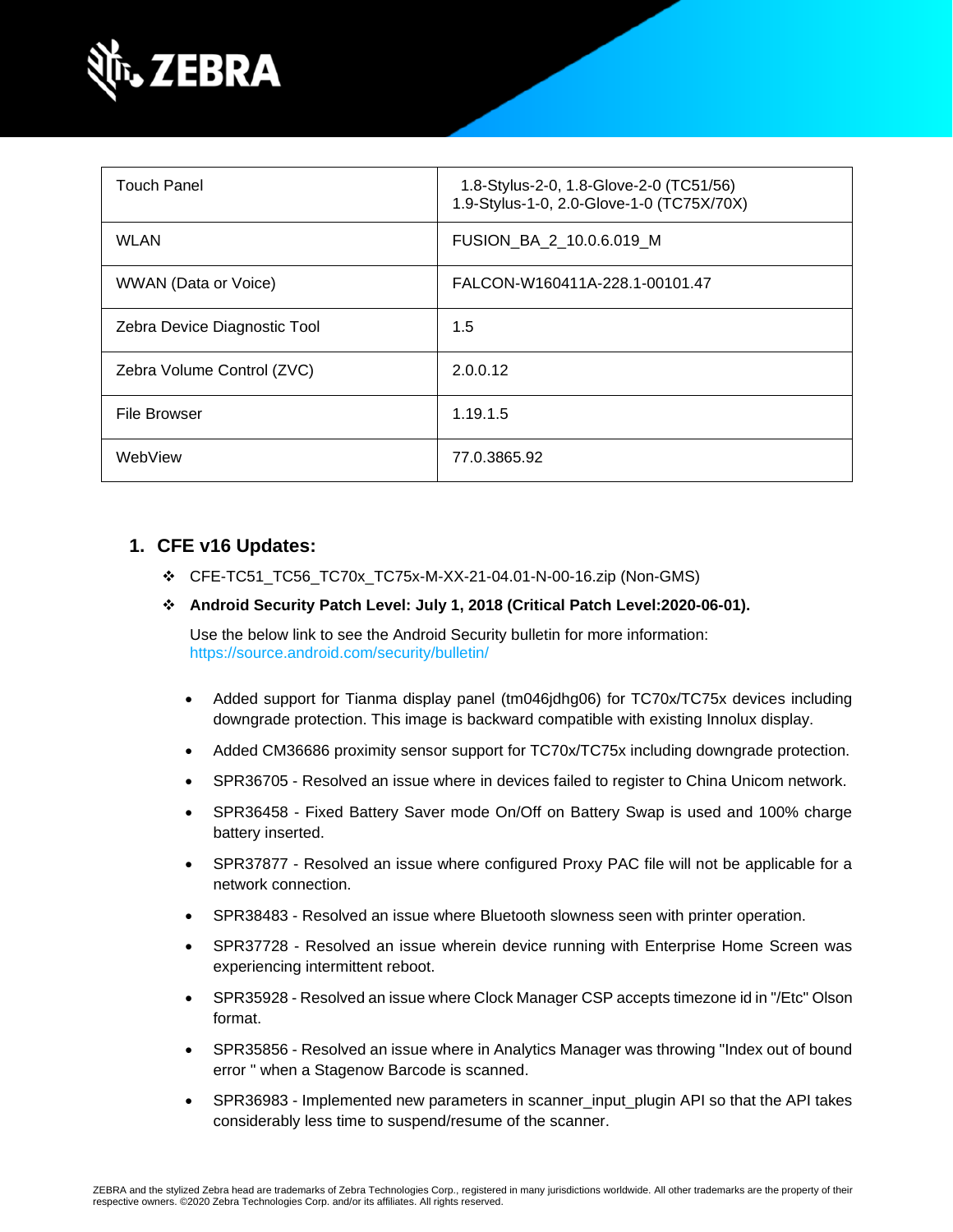

| <b>Touch Panel</b>           | 1.8-Stylus-2-0, 1.8-Glove-2-0 (TC51/56)<br>1.9-Stylus-1-0, 2.0-Glove-1-0 (TC75X/70X) |
|------------------------------|--------------------------------------------------------------------------------------|
| <b>WLAN</b>                  | FUSION_BA_2_10.0.6.019_M                                                             |
| WWAN (Data or Voice)         | FALCON-W160411A-228.1-00101.47                                                       |
| Zebra Device Diagnostic Tool | 1.5                                                                                  |
| Zebra Volume Control (ZVC)   | 2.0.0.12                                                                             |
| <b>File Browser</b>          | 1.19.1.5                                                                             |
| WebView                      | 77.0.3865.92                                                                         |

#### **1. CFE v16 Updates:**

❖ CFE-TC51\_TC56\_TC70x\_TC75x-M-XX-21-04.01-N-00-16.zip (Non-GMS)

#### ❖ **Android Security Patch Level: July 1, 2018 (Critical Patch Level:2020-06-01).**

Use the below link to see the Android Security bulletin for more information: <https://source.android.com/security/bulletin/>

- Added support for Tianma display panel (tm046jdhg06) for TC70x/TC75x devices including downgrade protection. This image is backward compatible with existing Innolux display.
- Added CM36686 proximity sensor support for TC70x/TC75x including downgrade protection.
- SPR36705 Resolved an issue where in devices failed to register to China Unicom network.
- SPR36458 Fixed Battery Saver mode On/Off on Battery Swap is used and 100% charge battery inserted.
- SPR37877 Resolved an issue where configured Proxy PAC file will not be applicable for a network connection.
- SPR38483 Resolved an issue where Bluetooth slowness seen with printer operation.
- SPR37728 Resolved an issue wherein device running with Enterprise Home Screen was experiencing intermittent reboot.
- SPR35928 Resolved an issue where Clock Manager CSP accepts timezone id in "/Etc" Olson format.
- SPR35856 Resolved an issue where in Analytics Manager was throwing "Index out of bound error " when a Stagenow Barcode is scanned.
- SPR36983 Implemented new parameters in scanner\_input\_plugin API so that the API takes considerably less time to suspend/resume of the scanner.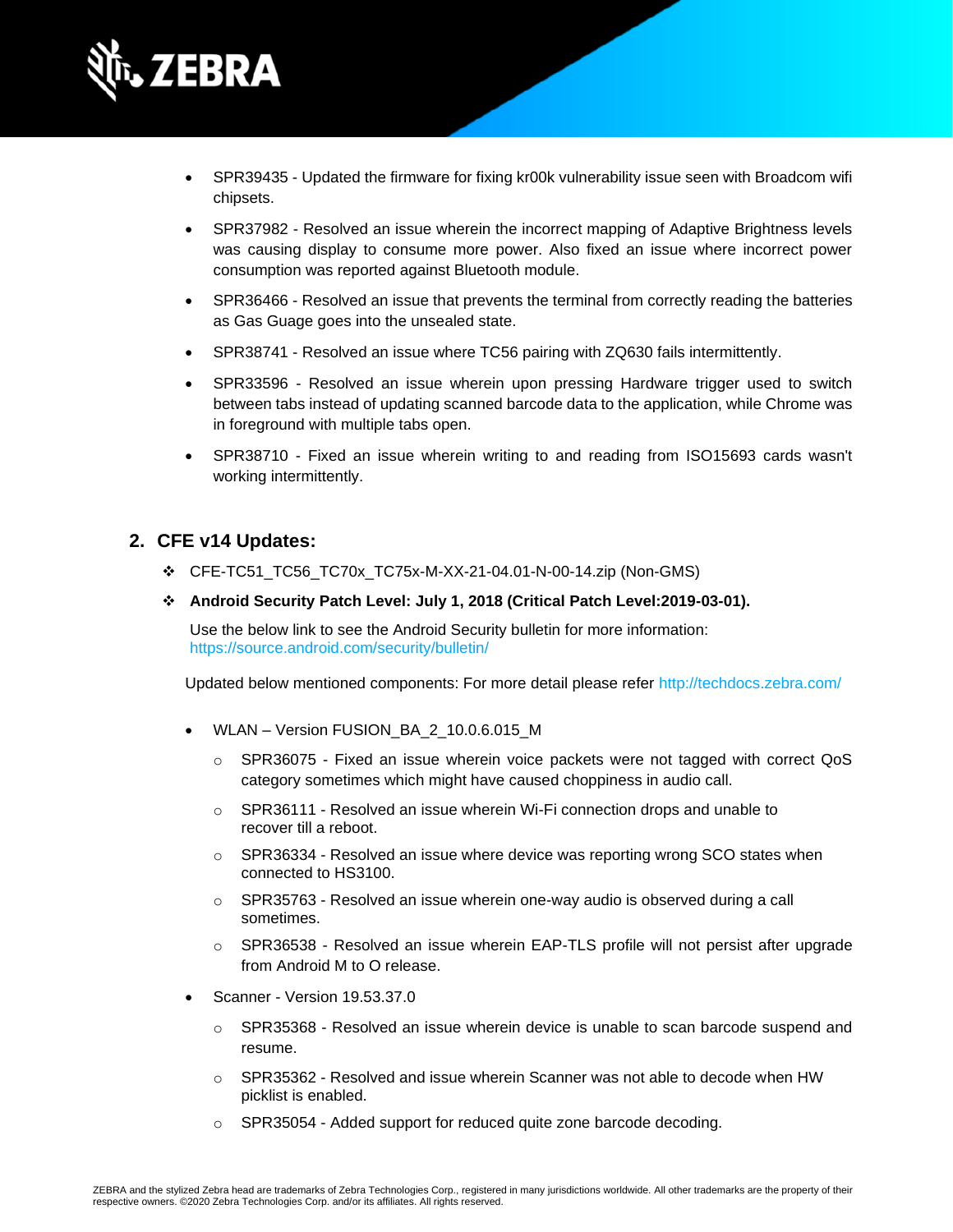

- SPR39435 Updated the firmware for fixing kr00k vulnerability issue seen with Broadcom wifi chipsets.
- SPR37982 Resolved an issue wherein the incorrect mapping of Adaptive Brightness levels was causing display to consume more power. Also fixed an issue where incorrect power consumption was reported against Bluetooth module.
- SPR36466 Resolved an issue that prevents the terminal from correctly reading the batteries as Gas Guage goes into the unsealed state.
- SPR38741 Resolved an issue where TC56 pairing with ZQ630 fails intermittently.
- SPR33596 Resolved an issue wherein upon pressing Hardware trigger used to switch between tabs instead of updating scanned barcode data to the application, while Chrome was in foreground with multiple tabs open.
- SPR38710 Fixed an issue wherein writing to and reading from ISO15693 cards wasn't working intermittently.

#### **2. CFE v14 Updates:**

- ❖ CFE-TC51\_TC56\_TC70x\_TC75x-M-XX-21-04.01-N-00-14.zip (Non-GMS)
- ❖ **Android Security Patch Level: July 1, 2018 (Critical Patch Level:2019-03-01).**

Use the below link to see the Android Security bulletin for more information: <https://source.android.com/security/bulletin/>

Updated below mentioned components: For more detail please refer <http://techdocs.zebra.com/>

- WLAN Version FUSION\_BA\_2\_10.0.6.015\_M
	- o SPR36075 Fixed an issue wherein voice packets were not tagged with correct QoS category sometimes which might have caused choppiness in audio call.
	- o SPR36111 Resolved an issue wherein Wi-Fi connection drops and unable to recover till a reboot.
	- o SPR36334 Resolved an issue where device was reporting wrong SCO states when connected to HS3100.
	- o SPR35763 Resolved an issue wherein one-way audio is observed during a call sometimes.
	- o SPR36538 Resolved an issue wherein EAP-TLS profile will not persist after upgrade from Android M to O release.
- Scanner Version 19.53.37.0
	- $\circ$  SPR35368 Resolved an issue wherein device is unable to scan barcode suspend and resume.
	- o SPR35362 Resolved and issue wherein Scanner was not able to decode when HW picklist is enabled.
	- o SPR35054 Added support for reduced quite zone barcode decoding.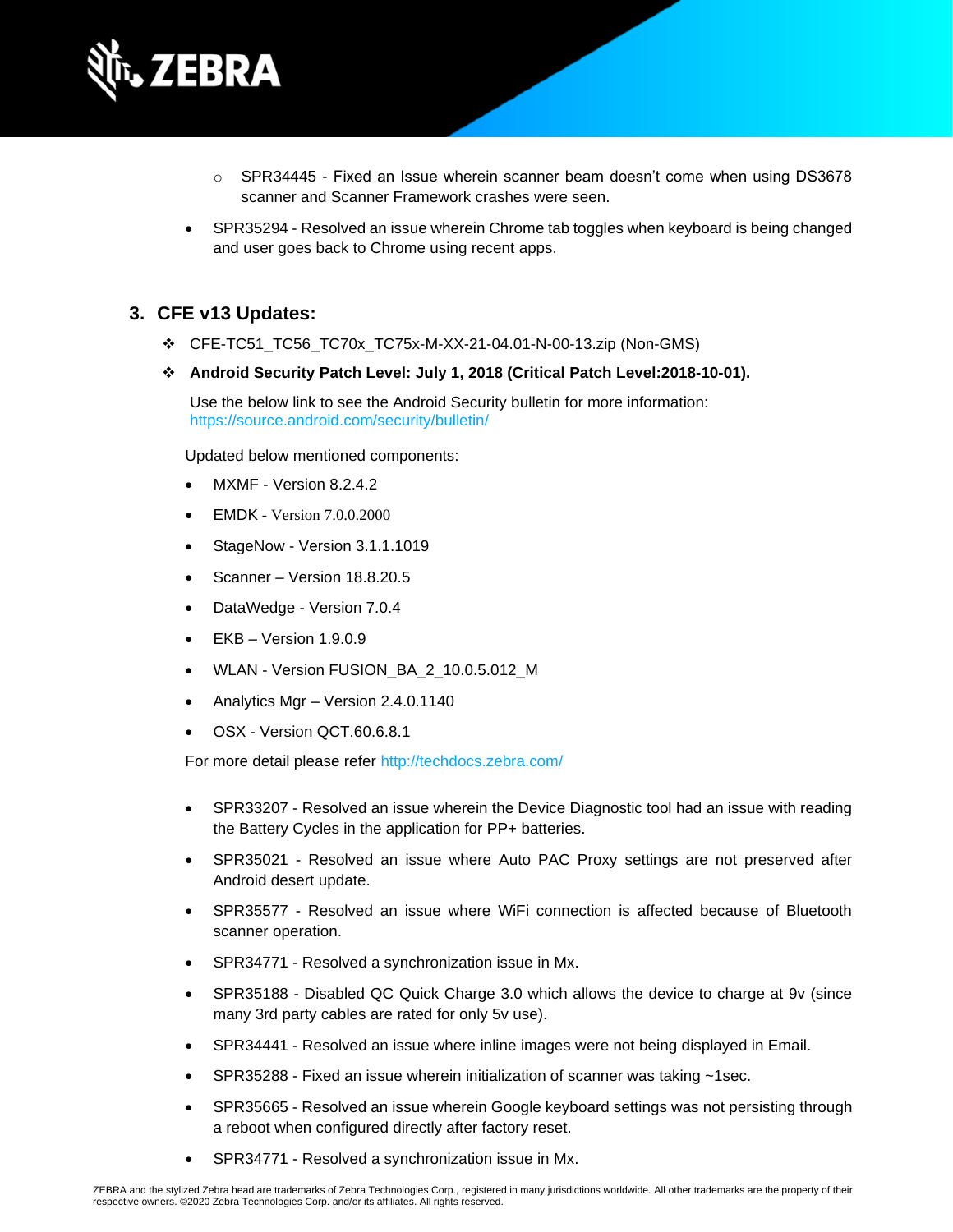

- o SPR34445 Fixed an Issue wherein scanner beam doesn't come when using DS3678 scanner and Scanner Framework crashes were seen.
- SPR35294 Resolved an issue wherein Chrome tab toggles when keyboard is being changed and user goes back to Chrome using recent apps.

#### **3. CFE v13 Updates:**

- ❖ CFE-TC51\_TC56\_TC70x\_TC75x-M-XX-21-04.01-N-00-13.zip (Non-GMS)
- ❖ **Android Security Patch Level: July 1, 2018 (Critical Patch Level:2018-10-01).**

Use the below link to see the Android Security bulletin for more information: <https://source.android.com/security/bulletin/>

Updated below mentioned components:

- MXMF Version 8.2.4.2
- EMDK Version 7.0.0.2000
- StageNow Version 3.1.1.1019
- Scanner Version 18.8.20.5
- DataWedge Version 7.0.4
- EKB Version 1.9.0.9
- WLAN Version FUSION\_BA\_2\_10.0.5.012\_M
- Analytics Mgr Version 2.4.0.1140
- OSX Version QCT.60.6.8.1

For more detail please refer <http://techdocs.zebra.com/>

- SPR33207 Resolved an issue wherein the Device Diagnostic tool had an issue with reading the Battery Cycles in the application for PP+ batteries.
- SPR35021 Resolved an issue where Auto PAC Proxy settings are not preserved after Android desert update.
- SPR35577 Resolved an issue where WiFi connection is affected because of Bluetooth scanner operation.
- SPR34771 Resolved a synchronization issue in Mx.
- SPR35188 Disabled QC Quick Charge 3.0 which allows the device to charge at 9v (since many 3rd party cables are rated for only 5v use).
- SPR34441 Resolved an issue where inline images were not being displayed in Email.
- SPR35288 Fixed an issue wherein initialization of scanner was taking ~1sec.
- SPR35665 Resolved an issue wherein Google keyboard settings was not persisting through a reboot when configured directly after factory reset.
- SPR34771 Resolved a synchronization issue in Mx.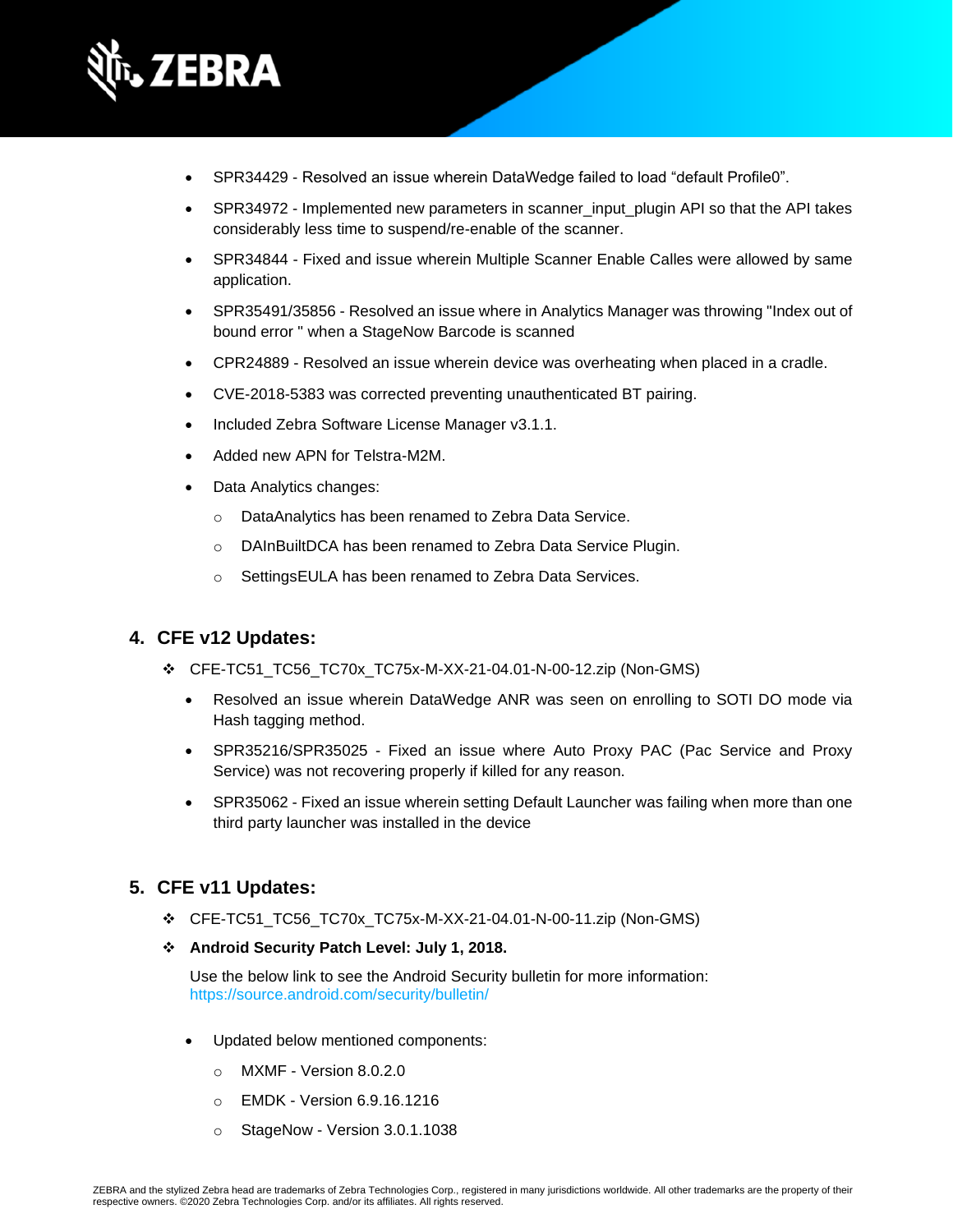

- SPR34429 Resolved an issue wherein DataWedge failed to load "default Profile0".
- SPR34972 Implemented new parameters in scanner input plugin API so that the API takes considerably less time to suspend/re-enable of the scanner.
- SPR34844 Fixed and issue wherein Multiple Scanner Enable Calles were allowed by same application.
- SPR35491/35856 Resolved an issue where in Analytics Manager was throwing "Index out of bound error " when a StageNow Barcode is scanned
- CPR24889 Resolved an issue wherein device was overheating when placed in a cradle.
- CVE-2018-5383 was corrected preventing unauthenticated BT pairing.
- Included Zebra Software License Manager v3.1.1.
- Added new APN for Telstra-M2M.
- Data Analytics changes:
	- o DataAnalytics has been renamed to Zebra Data Service.
	- o DAInBuiltDCA has been renamed to Zebra Data Service Plugin.
	- o SettingsEULA has been renamed to Zebra Data Services.

#### **4. CFE v12 Updates:**

- ❖ CFE-TC51\_TC56\_TC70x\_TC75x-M-XX-21-04.01-N-00-12.zip (Non-GMS)
	- Resolved an issue wherein DataWedge ANR was seen on enrolling to SOTI DO mode via Hash tagging method.
	- SPR35216/SPR35025 Fixed an issue where Auto Proxy PAC (Pac Service and Proxy Service) was not recovering properly if killed for any reason.
	- SPR35062 Fixed an issue wherein setting Default Launcher was failing when more than one third party launcher was installed in the device

#### **5. CFE v11 Updates:**

- ❖ CFE-TC51\_TC56\_TC70x\_TC75x-M-XX-21-04.01-N-00-11.zip (Non-GMS)
- ❖ **Android Security Patch Level: July 1, 2018.**

Use the below link to see the Android Security bulletin for more information: <https://source.android.com/security/bulletin/>

- Updated below mentioned components:
	- o MXMF Version 8.0.2.0
	- o EMDK Version 6.9.16.1216
	- o StageNow Version 3.0.1.1038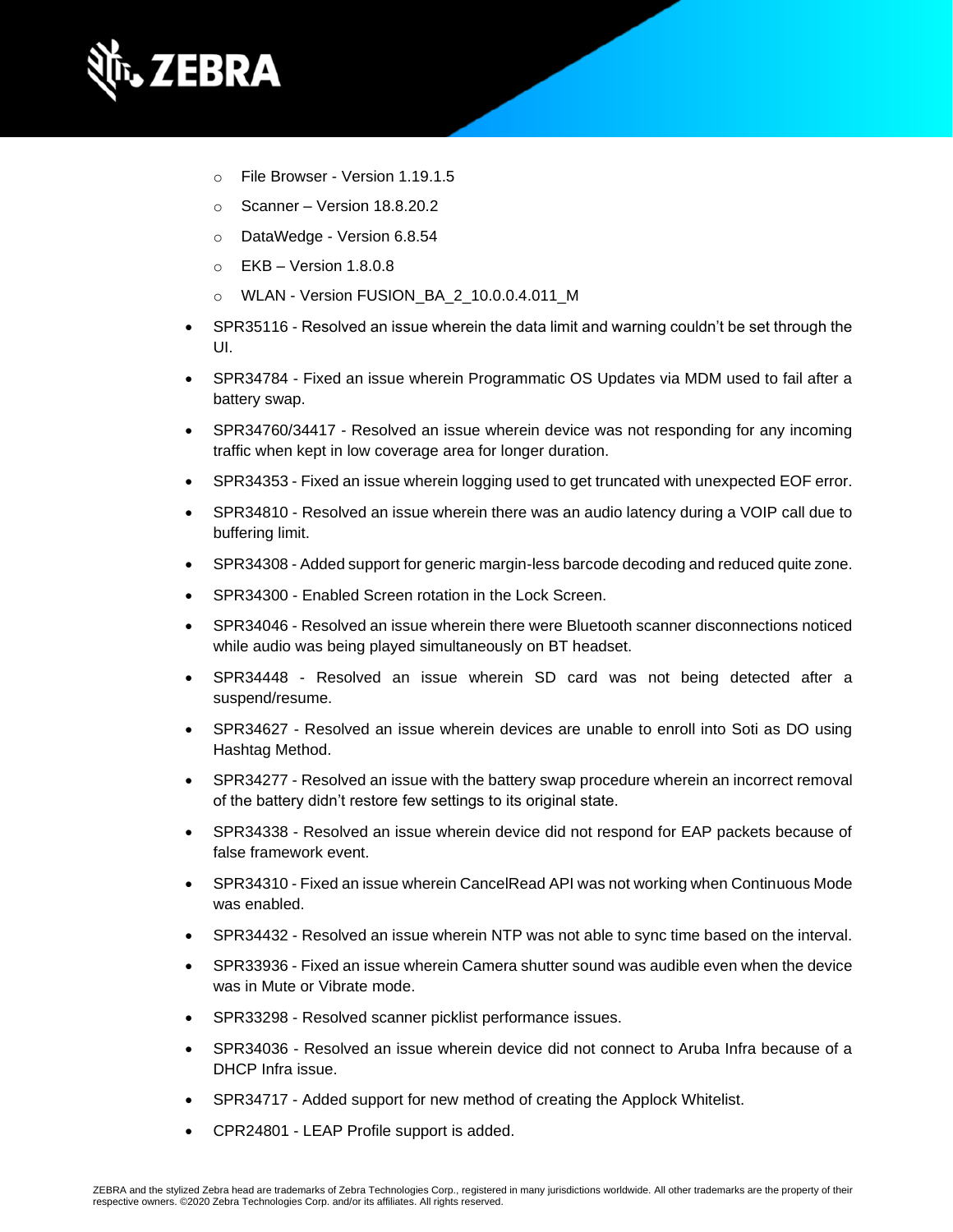

- o File Browser Version 1.19.1.5
- o Scanner Version 18.8.20.2
- o DataWedge Version 6.8.54
- $\circ$  EKB Version 1.8.0.8
- o WLAN Version FUSION\_BA\_2\_10.0.0.4.011\_M
- SPR35116 Resolved an issue wherein the data limit and warning couldn't be set through the UI.
- SPR34784 Fixed an issue wherein Programmatic OS Updates via MDM used to fail after a battery swap.
- SPR34760/34417 Resolved an issue wherein device was not responding for any incoming traffic when kept in low coverage area for longer duration.
- SPR34353 Fixed an issue wherein logging used to get truncated with unexpected EOF error.
- SPR34810 Resolved an issue wherein there was an audio latency during a VOIP call due to buffering limit.
- SPR34308 Added support for generic margin-less barcode decoding and reduced quite zone.
- SPR34300 Enabled Screen rotation in the Lock Screen.
- SPR34046 Resolved an issue wherein there were Bluetooth scanner disconnections noticed while audio was being played simultaneously on BT headset.
- SPR34448 Resolved an issue wherein SD card was not being detected after a suspend/resume.
- SPR34627 Resolved an issue wherein devices are unable to enroll into Soti as DO using Hashtag Method.
- SPR34277 Resolved an issue with the battery swap procedure wherein an incorrect removal of the battery didn't restore few settings to its original state.
- SPR34338 Resolved an issue wherein device did not respond for EAP packets because of false framework event.
- SPR34310 Fixed an issue wherein CancelRead API was not working when Continuous Mode was enabled.
- SPR34432 Resolved an issue wherein NTP was not able to sync time based on the interval.
- SPR33936 Fixed an issue wherein Camera shutter sound was audible even when the device was in Mute or Vibrate mode.
- SPR33298 Resolved scanner picklist performance issues.
- SPR34036 Resolved an issue wherein device did not connect to Aruba Infra because of a DHCP Infra issue.
- SPR34717 Added support for new method of creating the Applock Whitelist.
- CPR24801 LEAP Profile support is added.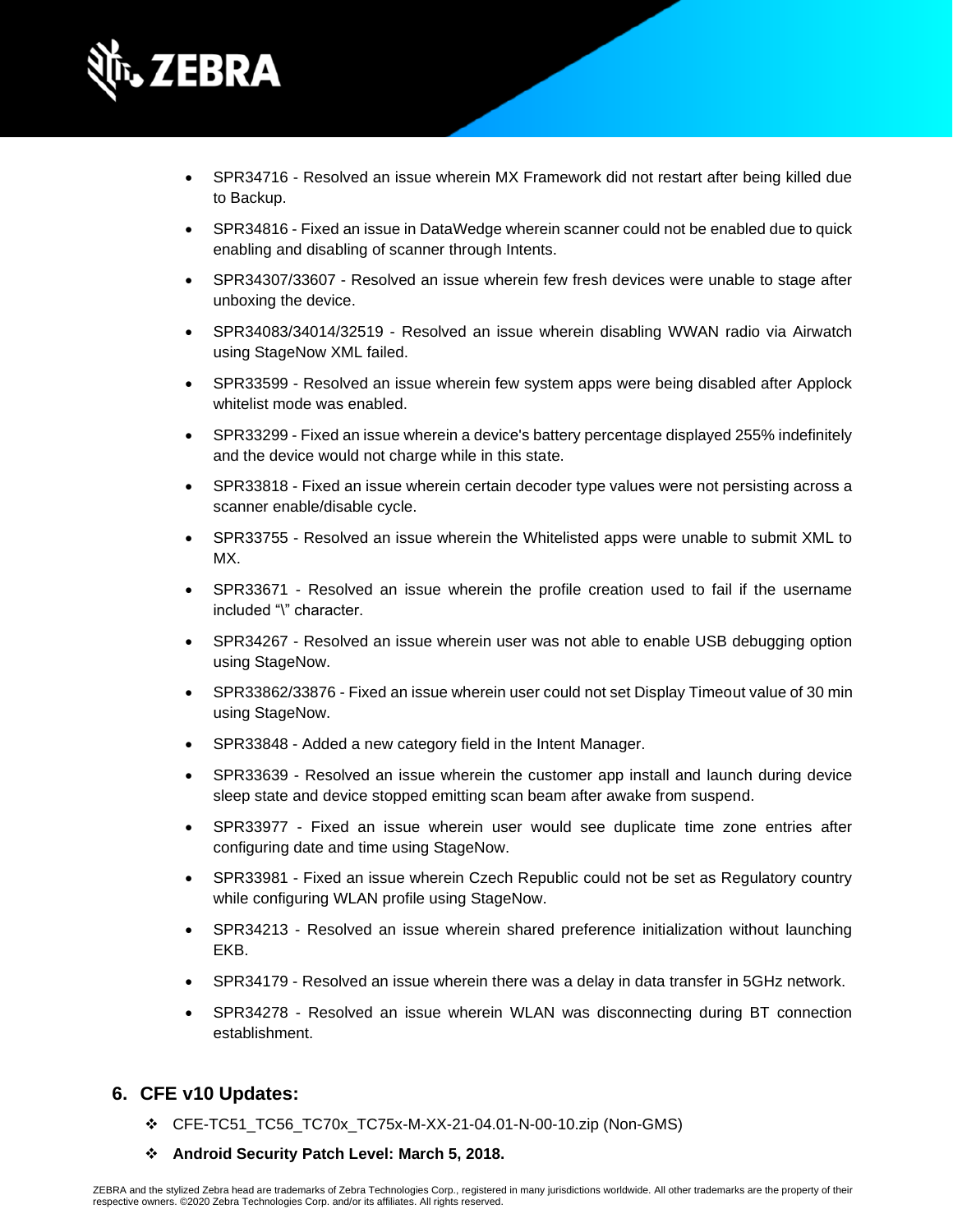

- SPR34716 Resolved an issue wherein MX Framework did not restart after being killed due to Backup.
- SPR34816 Fixed an issue in DataWedge wherein scanner could not be enabled due to quick enabling and disabling of scanner through Intents.
- SPR34307/33607 Resolved an issue wherein few fresh devices were unable to stage after unboxing the device.
- SPR34083/34014/32519 Resolved an issue wherein disabling WWAN radio via Airwatch using StageNow XML failed.
- SPR33599 Resolved an issue wherein few system apps were being disabled after Applock whitelist mode was enabled.
- SPR33299 Fixed an issue wherein a device's battery percentage displayed 255% indefinitely and the device would not charge while in this state.
- SPR33818 Fixed an issue wherein certain decoder type values were not persisting across a scanner enable/disable cycle.
- SPR33755 Resolved an issue wherein the Whitelisted apps were unable to submit XML to MX.
- SPR33671 Resolved an issue wherein the profile creation used to fail if the username included "\" character.
- SPR34267 Resolved an issue wherein user was not able to enable USB debugging option using StageNow.
- SPR33862/33876 Fixed an issue wherein user could not set Display Timeout value of 30 min using StageNow.
- SPR33848 Added a new category field in the Intent Manager.
- SPR33639 Resolved an issue wherein the customer app install and launch during device sleep state and device stopped emitting scan beam after awake from suspend.
- SPR33977 Fixed an issue wherein user would see duplicate time zone entries after configuring date and time using StageNow.
- SPR33981 Fixed an issue wherein Czech Republic could not be set as Regulatory country while configuring WLAN profile using StageNow.
- SPR34213 Resolved an issue wherein shared preference initialization without launching EKB.
- SPR34179 Resolved an issue wherein there was a delay in data transfer in 5GHz network.
- SPR34278 Resolved an issue wherein WLAN was disconnecting during BT connection establishment.

#### **6. CFE v10 Updates:**

- ❖ CFE-TC51\_TC56\_TC70x\_TC75x-M-XX-21-04.01-N-00-10.zip (Non-GMS)
- ❖ **Android Security Patch Level: March 5, 2018.**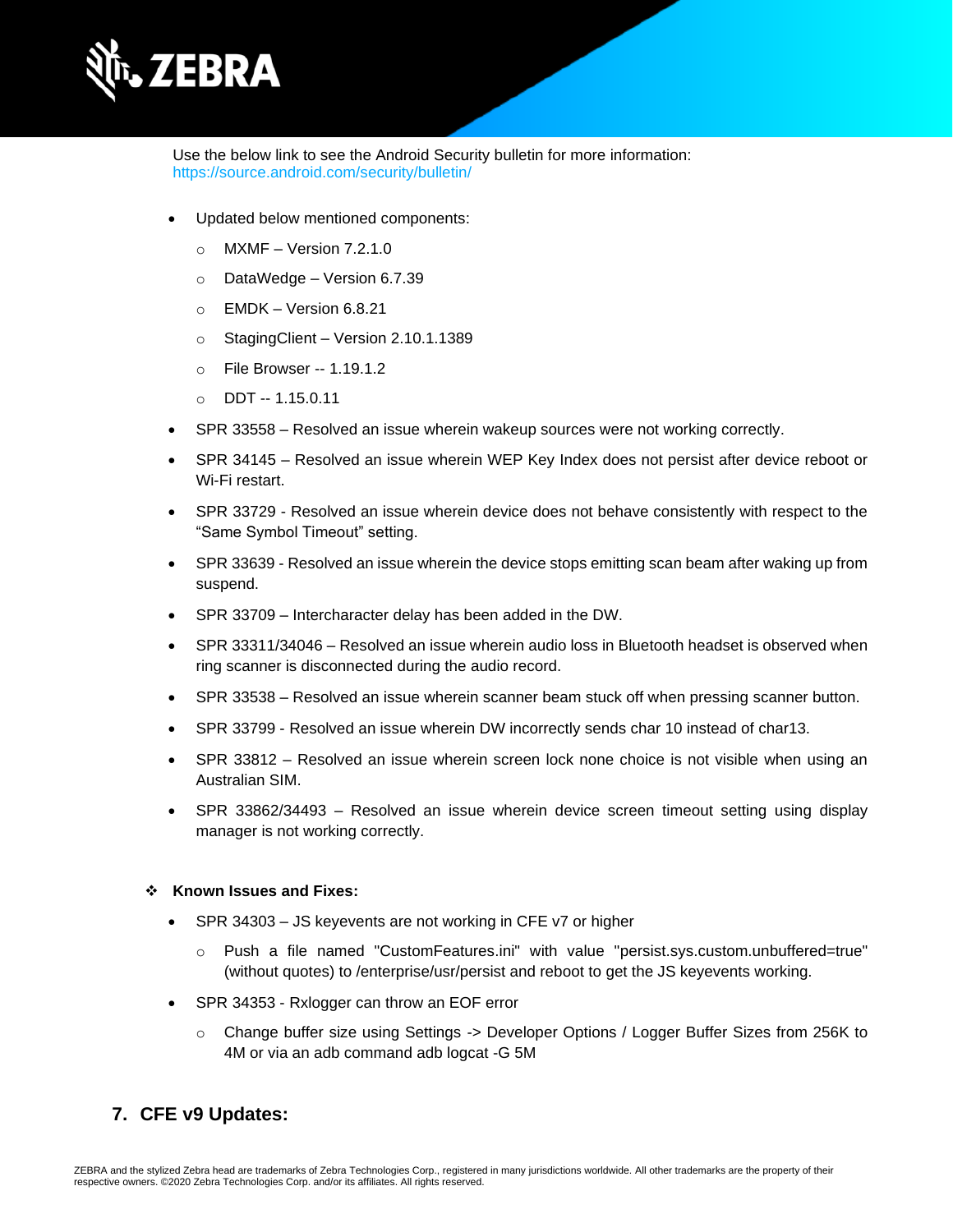

Use the below link to see the Android Security bulletin for more information: <https://source.android.com/security/bulletin/>

- Updated below mentioned components:
	- $\circ$  MXMF Version 7.2.1.0
	- o DataWedge Version 6.7.39
	- $\circ$  EMDK Version 6.8.21
	- o StagingClient Version 2.10.1.1389
	- o File Browser -- 1.19.1.2
	- o DDT -- 1.15.0.11
- SPR 33558 Resolved an issue wherein wakeup sources were not working correctly.
- SPR 34145 Resolved an issue wherein WEP Key Index does not persist after device reboot or Wi-Fi restart.
- SPR 33729 Resolved an issue wherein device does not behave consistently with respect to the "Same Symbol Timeout" setting.
- SPR 33639 Resolved an issue wherein the device stops emitting scan beam after waking up from suspend.
- SPR 33709 Intercharacter delay has been added in the DW.
- SPR 33311/34046 Resolved an issue wherein audio loss in Bluetooth headset is observed when ring scanner is disconnected during the audio record.
- SPR 33538 Resolved an issue wherein scanner beam stuck off when pressing scanner button.
- SPR 33799 Resolved an issue wherein DW incorrectly sends char 10 instead of char13.
- SPR 33812 Resolved an issue wherein screen lock none choice is not visible when using an Australian SIM.
- SPR 33862/34493 Resolved an issue wherein device screen timeout setting using display manager is not working correctly.

#### ❖ **Known Issues and Fixes:**

- SPR 34303 JS keyevents are not working in CFE v7 or higher
	- o Push a file named "CustomFeatures.ini" with value "persist.sys.custom.unbuffered=true" (without quotes) to /enterprise/usr/persist and reboot to get the JS keyevents working.
- SPR 34353 Rxlogger can throw an EOF error
	- o Change buffer size using Settings -> Developer Options / Logger Buffer Sizes from 256K to 4M or via an adb command adb logcat -G 5M

#### **7. CFE v9 Updates:**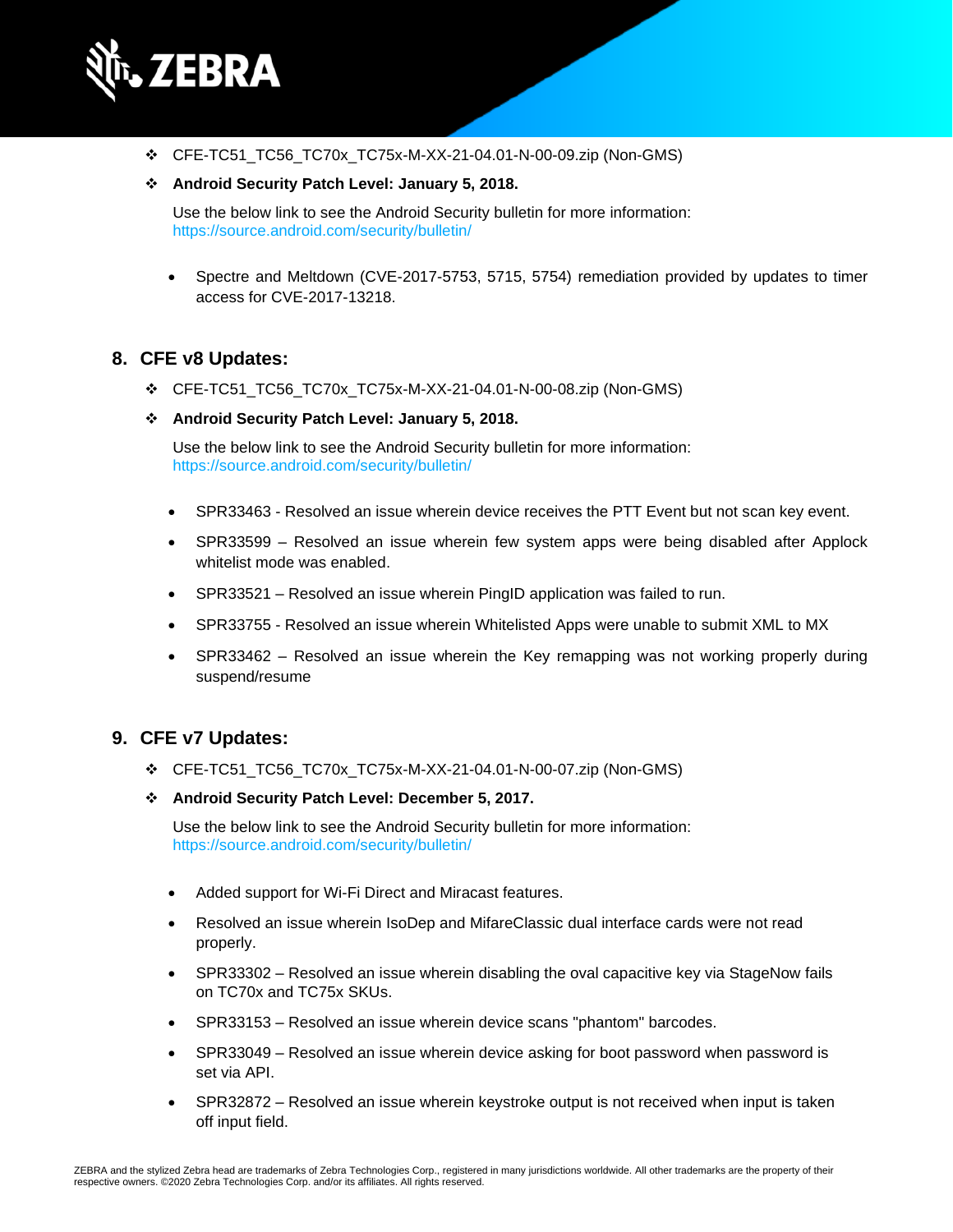

❖ CFE-TC51\_TC56\_TC70x\_TC75x-M-XX-21-04.01-N-00-09.zip (Non-GMS)

#### ❖ **Android Security Patch Level: January 5, 2018.**

Use the below link to see the Android Security bulletin for more information: <https://source.android.com/security/bulletin/>

• Spectre and Meltdown (CVE-2017-5753, 5715, 5754) remediation provided by updates to timer access for CVE-2017-13218.

#### **8. CFE v8 Updates:**

- ❖ CFE-TC51\_TC56\_TC70x\_TC75x-M-XX-21-04.01-N-00-08.zip (Non-GMS)
- ❖ **Android Security Patch Level: January 5, 2018.**

Use the below link to see the Android Security bulletin for more information: <https://source.android.com/security/bulletin/>

- SPR33463 Resolved an issue wherein device receives the PTT Event but not scan key event.
- SPR33599 Resolved an issue wherein few system apps were being disabled after Applock whitelist mode was enabled.
- SPR33521 Resolved an issue wherein PingID application was failed to run.
- SPR33755 Resolved an issue wherein Whitelisted Apps were unable to submit XML to MX
- SPR33462 Resolved an issue wherein the Key remapping was not working properly during suspend/resume

#### **9. CFE v7 Updates:**

- ❖ CFE-TC51\_TC56\_TC70x\_TC75x-M-XX-21-04.01-N-00-07.zip (Non-GMS)
- ❖ **Android Security Patch Level: December 5, 2017.**

Use the below link to see the Android Security bulletin for more information: <https://source.android.com/security/bulletin/>

- Added support for Wi-Fi Direct and Miracast features.
- Resolved an issue wherein IsoDep and MifareClassic dual interface cards were not read properly.
- SPR33302 Resolved an issue wherein disabling the oval capacitive key via StageNow fails on TC70x and TC75x SKUs.
- SPR33153 Resolved an issue wherein device scans "phantom" barcodes.
- SPR33049 Resolved an issue wherein device asking for boot password when password is set via API.
- SPR32872 Resolved an issue wherein keystroke output is not received when input is taken off input field.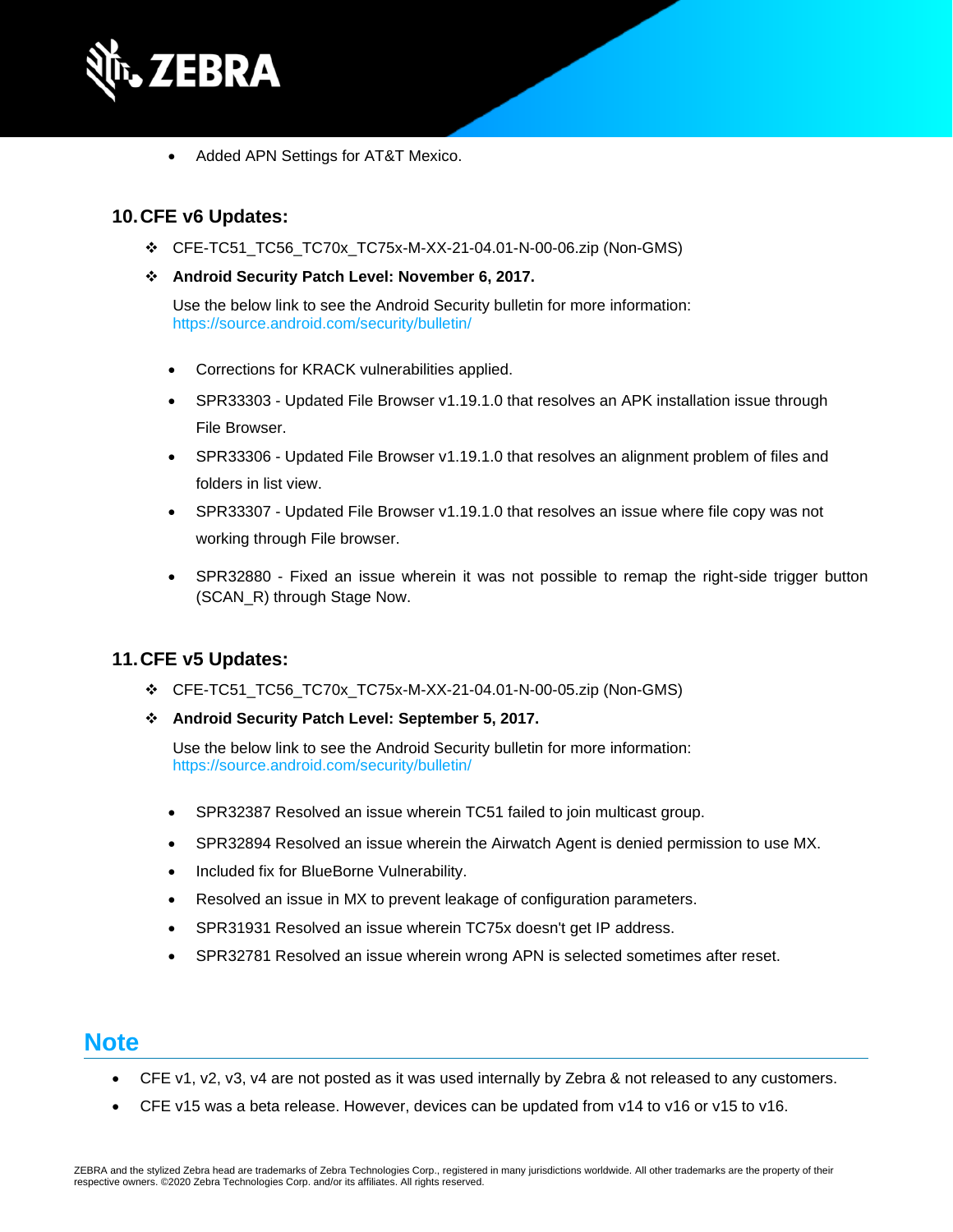

• Added APN Settings for AT&T Mexico.

#### **10.CFE v6 Updates:**

- ❖ CFE-TC51\_TC56\_TC70x\_TC75x-M-XX-21-04.01-N-00-06.zip (Non-GMS)
- ❖ **Android Security Patch Level: November 6, 2017.**

Use the below link to see the Android Security bulletin for more information: <https://source.android.com/security/bulletin/>

- Corrections for KRACK vulnerabilities applied.
- SPR33303 Updated File Browser v1.19.1.0 that resolves an APK installation issue through File Browser.
- SPR33306 Updated File Browser v1.19.1.0 that resolves an alignment problem of files and folders in list view.
- SPR33307 Updated File Browser v1.19.1.0 that resolves an issue where file copy was not working through File browser.
- SPR32880 Fixed an issue wherein it was not possible to remap the right-side trigger button (SCAN\_R) through Stage Now.

#### **11.CFE v5 Updates:**

- ❖ CFE-TC51\_TC56\_TC70x\_TC75x-M-XX-21-04.01-N-00-05.zip (Non-GMS)
- ❖ **Android Security Patch Level: September 5, 2017.**

Use the below link to see the Android Security bulletin for more information: <https://source.android.com/security/bulletin/>

- SPR32387 Resolved an issue wherein TC51 failed to join multicast group.
- SPR32894 Resolved an issue wherein the Airwatch Agent is denied permission to use MX.
- Included fix for BlueBorne Vulnerability.
- Resolved an issue in MX to prevent leakage of configuration parameters.
- SPR31931 Resolved an issue wherein TC75x doesn't get IP address.
- SPR32781 Resolved an issue wherein wrong APN is selected sometimes after reset.

### **Note**

- CFE v1, v2, v3, v4 are not posted as it was used internally by Zebra & not released to any customers.
- CFE v15 was a beta release. However, devices can be updated from v14 to v16 or v15 to v16.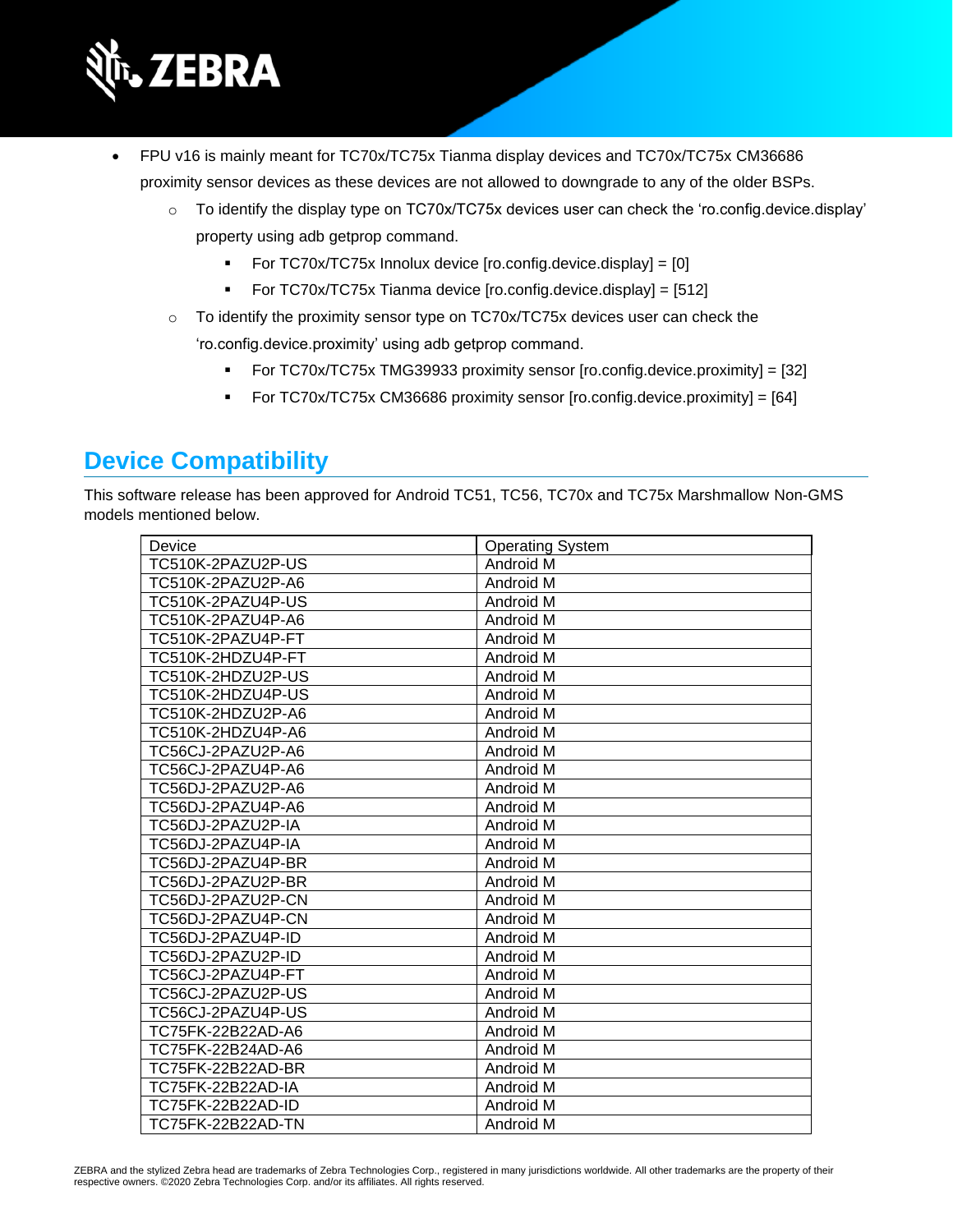

- FPU v16 is mainly meant for TC70x/TC75x Tianma display devices and TC70x/TC75x CM36686 proximity sensor devices as these devices are not allowed to downgrade to any of the older BSPs.
	- $\circ$  To identify the display type on TC70x/TC75x devices user can check the 'ro.config.device.display' property using adb getprop command.
		- For TC70x/TC75x Innolux device [ro.config.device.display] = [0]
		- For TC70x/TC75x Tianma device [ro.config.device.display] = [512]
	- o To identify the proximity sensor type on TC70x/TC75x devices user can check the 'ro.config.device.proximity' using adb getprop command.
		- For TC70x/TC75x TMG39933 proximity sensor [ro.config.device.proximity] = [32]
		- For TC70x/TC75x CM36686 proximity sensor [ro.config.device.proximity] = [64]

## **Device Compatibility**

This software release has been approved for Android TC51, TC56, TC70x and TC75x Marshmallow Non-GMS models mentioned below.

| Device            | <b>Operating System</b> |
|-------------------|-------------------------|
| TC510K-2PAZU2P-US | Android M               |
| TC510K-2PAZU2P-A6 | Android M               |
| TC510K-2PAZU4P-US | Android M               |
| TC510K-2PAZU4P-A6 | Android M               |
| TC510K-2PAZU4P-FT | Android M               |
| TC510K-2HDZU4P-FT | Android M               |
| TC510K-2HDZU2P-US | Android M               |
| TC510K-2HDZU4P-US | Android M               |
| TC510K-2HDZU2P-A6 | Android M               |
| TC510K-2HDZU4P-A6 | Android M               |
| TC56CJ-2PAZU2P-A6 | Android M               |
| TC56CJ-2PAZU4P-A6 | Android M               |
| TC56DJ-2PAZU2P-A6 | Android M               |
| TC56DJ-2PAZU4P-A6 | Android M               |
| TC56DJ-2PAZU2P-IA | Android M               |
| TC56DJ-2PAZU4P-IA | Android M               |
| TC56DJ-2PAZU4P-BR | Android M               |
| TC56DJ-2PAZU2P-BR | Android M               |
| TC56DJ-2PAZU2P-CN | Android M               |
| TC56DJ-2PAZU4P-CN | Android M               |
| TC56DJ-2PAZU4P-ID | Android M               |
| TC56DJ-2PAZU2P-ID | Android M               |
| TC56CJ-2PAZU4P-FT | Android M               |
| TC56CJ-2PAZU2P-US | Android M               |
| TC56CJ-2PAZU4P-US | Android M               |
| TC75FK-22B22AD-A6 | Android M               |
| TC75FK-22B24AD-A6 | Android M               |
| TC75FK-22B22AD-BR | Android M               |
| TC75FK-22B22AD-IA | Android M               |
| TC75FK-22B22AD-ID | Android M               |
| TC75FK-22B22AD-TN | Android M               |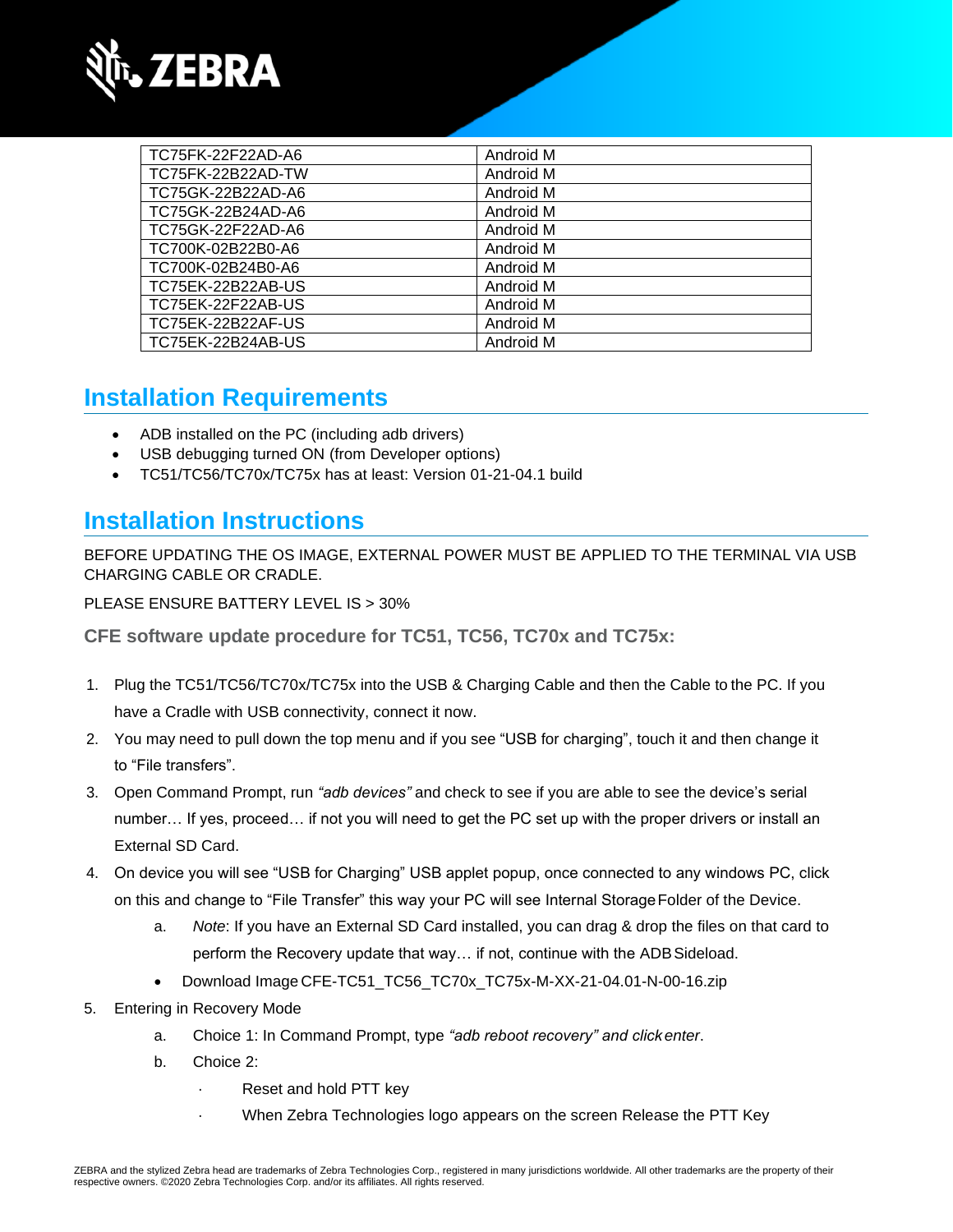

| TC75FK-22F22AD-A6 | Android M |
|-------------------|-----------|
| TC75FK-22B22AD-TW | Android M |
| TC75GK-22B22AD-A6 | Android M |
| TC75GK-22B24AD-A6 | Android M |
| TC75GK-22F22AD-A6 | Android M |
| TC700K-02B22B0-A6 | Android M |
| TC700K-02B24B0-A6 | Android M |
| TC75EK-22B22AB-US | Android M |
| TC75EK-22F22AB-US | Android M |
| TC75EK-22B22AF-US | Android M |
| TC75EK-22B24AB-US | Android M |

### **Installation Requirements**

- ADB installed on the PC (including adb drivers)
- USB debugging turned ON (from Developer options)
- TC51/TC56/TC70x/TC75x has at least: Version 01-21-04.1 build

### **Installation Instructions**

BEFORE UPDATING THE OS IMAGE, EXTERNAL POWER MUST BE APPLIED TO THE TERMINAL VIA USB CHARGING CABLE OR CRADLE.

PLEASE ENSURE BATTERY LEVEL IS > 30%

**CFE software update procedure for TC51, TC56, TC70x and TC75x:**

- 1. Plug the TC51/TC56/TC70x/TC75x into the USB & Charging Cable and then the Cable to the PC. If you have a Cradle with USB connectivity, connect it now.
- 2. You may need to pull down the top menu and if you see "USB for charging", touch it and then change it to "File transfers".
- 3. Open Command Prompt, run *"adb devices"* and check to see if you are able to see the device's serial number… If yes, proceed… if not you will need to get the PC set up with the proper drivers or install an External SD Card.
- 4. On device you will see "USB for Charging" USB applet popup, once connected to any windows PC, click on this and change to "File Transfer" this way your PC will see Internal StorageFolder of the Device.
	- a. *Note*: If you have an External SD Card installed, you can drag & drop the files on that card to perform the Recovery update that way… if not, continue with the ADBSideload.
	- Download Image CFE-TC51\_TC56\_TC70x\_TC75x-M-XX-21-04.01-N-00-16.zip
- 5. Entering in Recovery Mode
	- a. Choice 1: In Command Prompt, type *"adb reboot recovery" and click enter*.
	- b. Choice 2:
		- Reset and hold PTT key
			- · When Zebra Technologies logo appears on the screen Release the PTT Key